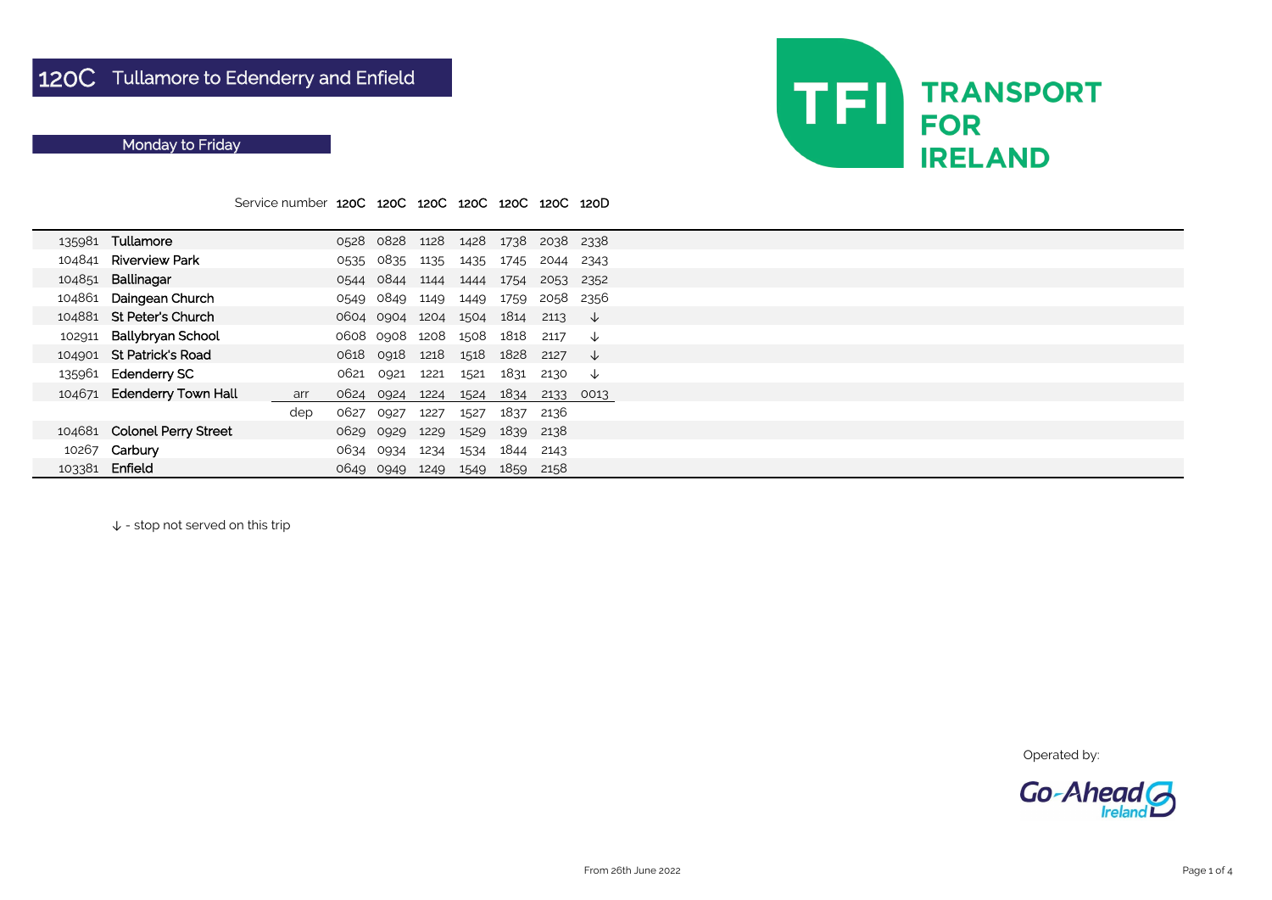|        |                             | Service number 120C 120C 120C 120C |      |                          |      |      | 120C                               | 120C 120D |              |  |
|--------|-----------------------------|------------------------------------|------|--------------------------|------|------|------------------------------------|-----------|--------------|--|
|        | 135981 Tullamore            |                                    |      |                          |      |      | 0528 0828 1128 1428 1738 2038 2338 |           |              |  |
| 104841 | <b>Riverview Park</b>       |                                    |      | 0535 0835                | 1135 | 1435 | 1745                               | 2044 2343 |              |  |
| 104851 | Ballinagar                  |                                    |      | 0544 0844 1144           |      | 1444 | 1754                               | 2053 2352 |              |  |
| 104861 | Daingean Church             |                                    | 0549 | 0849                     | 1149 | 1449 | 1759                               | 2058      | -2356        |  |
| 104881 | <b>St Peter's Church</b>    |                                    |      |                          |      |      | 0604 0904 1204 1504 1814           | 2113      | ↓            |  |
| 102911 | <b>Ballybryan School</b>    |                                    |      | 0608 0908 1208 1508 1818 |      |      |                                    | 2117      | ↓            |  |
| 104901 | <b>St Patrick's Road</b>    |                                    |      | 0618 0918                |      |      | 1218 1518 1828                     | 2127      | ↓            |  |
|        | 135961 Edenderry SC         |                                    | 0621 | 0921                     | 1221 | 1521 | 1831                               | 2130      | $\downarrow$ |  |
|        | 104671 Edenderry Town Hall  | arr                                |      | 0624 0924 1224 1524      |      |      | 1834                               | 2133      | 0013         |  |
|        |                             | dep                                | 0627 | 0927                     | 1227 | 1527 | 1837                               | 2136      |              |  |
|        | 104681 Colonel Perry Street |                                    |      | 0629 0929                | 1229 |      | 1529 1839                          | 2138      |              |  |
|        | 10267 Carbury               |                                    | 0634 | 0934                     | 1234 | 1534 | 1844                               | 2143      |              |  |
| 103381 | Enfield                     |                                    | 0649 | 0949                     | 1249 | 1549 | 1859                               | 2158      |              |  |

↓ - stop not served on this trip

Operated by:



## Monday to Friday

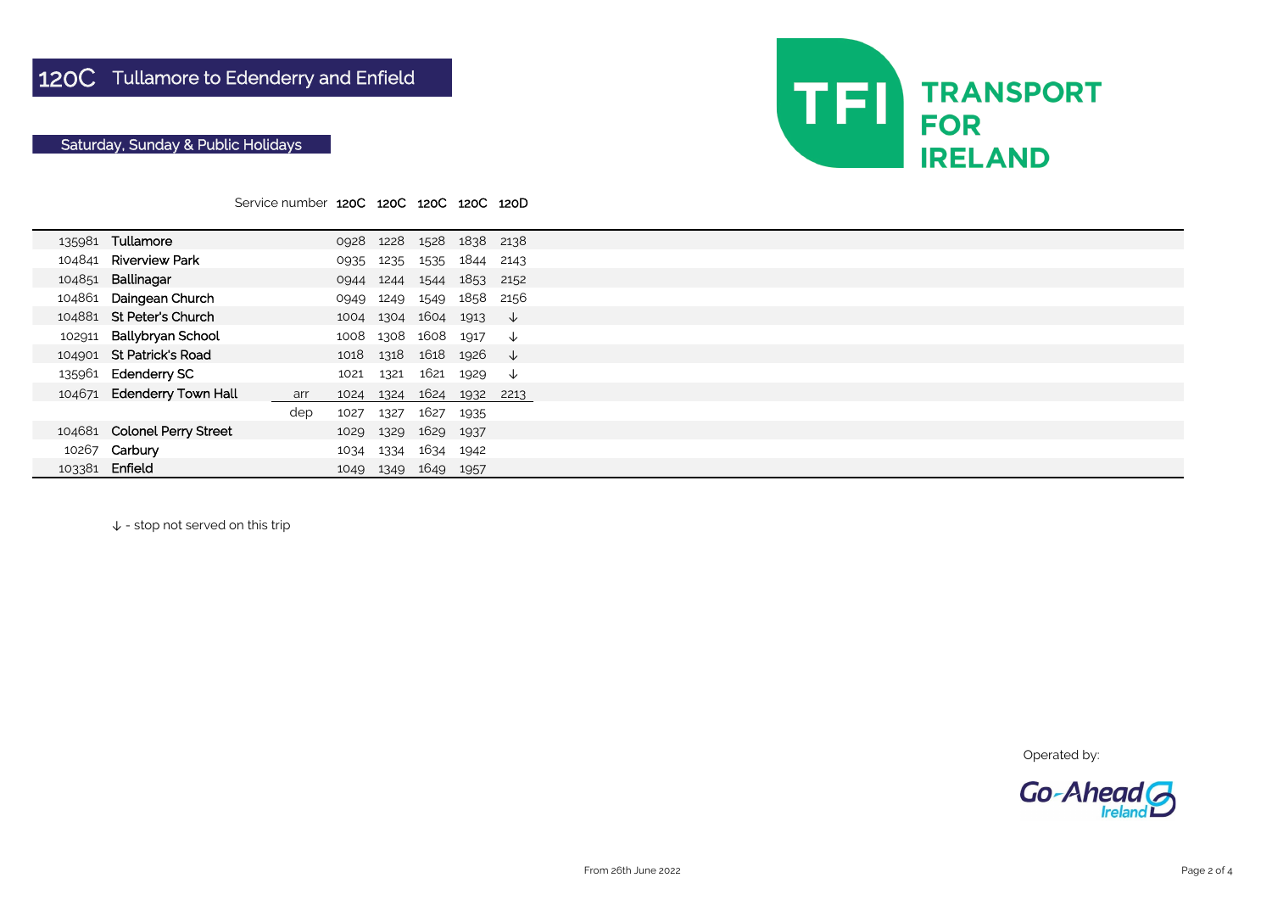|        |                             | Service number 120C 120C 120C 120C 120D |      |           |                          |           |              |  |
|--------|-----------------------------|-----------------------------------------|------|-----------|--------------------------|-----------|--------------|--|
|        |                             |                                         |      |           |                          |           |              |  |
|        | 135981 Tullamore            |                                         |      |           | 0928 1228 1528 1838 2138 |           |              |  |
| 104841 | <b>Riverview Park</b>       |                                         | 0935 | 1235      | 1535                     | 1844 2143 |              |  |
| 104851 | Ballinagar                  |                                         | 0944 | 1244      | 1544                     | 1853      | 2152         |  |
| 104861 | Daingean Church             |                                         | 0949 | 1249      | 1549 1858                |           | 2156         |  |
|        | 104881 St Peter's Church    |                                         |      |           | 1004 1304 1604 1913      |           | $\downarrow$ |  |
| 102911 | <b>Ballybryan School</b>    |                                         | 1008 | 1308 1608 |                          | 1917      | $\downarrow$ |  |
|        | 104901 St Patrick's Road    |                                         | 1018 | 1318      | 1618 1926                |           | $\downarrow$ |  |
|        | 135961 Edenderry SC         |                                         | 1021 | 1321      | 1621 1929                |           | $\downarrow$ |  |
|        | 104671 Edenderry Town Hall  | arr                                     | 1024 | 1324      | 1624                     | 1932      | 2213         |  |
|        |                             | dep                                     | 1027 | 1327      | 1627 1935                |           |              |  |
|        | 104681 Colonel Perry Street |                                         | 1029 | 1329      | 1629                     | 1937      |              |  |
| 10267  | Carbury                     |                                         | 1034 | 1334      | 1634                     | 1942      |              |  |
|        | 103381 Enfield              |                                         | 1049 | 1349      | 1649                     | 1957      |              |  |

↓ - stop not served on this trip

Operated by:



## Saturday, Sunday & Public Holidays

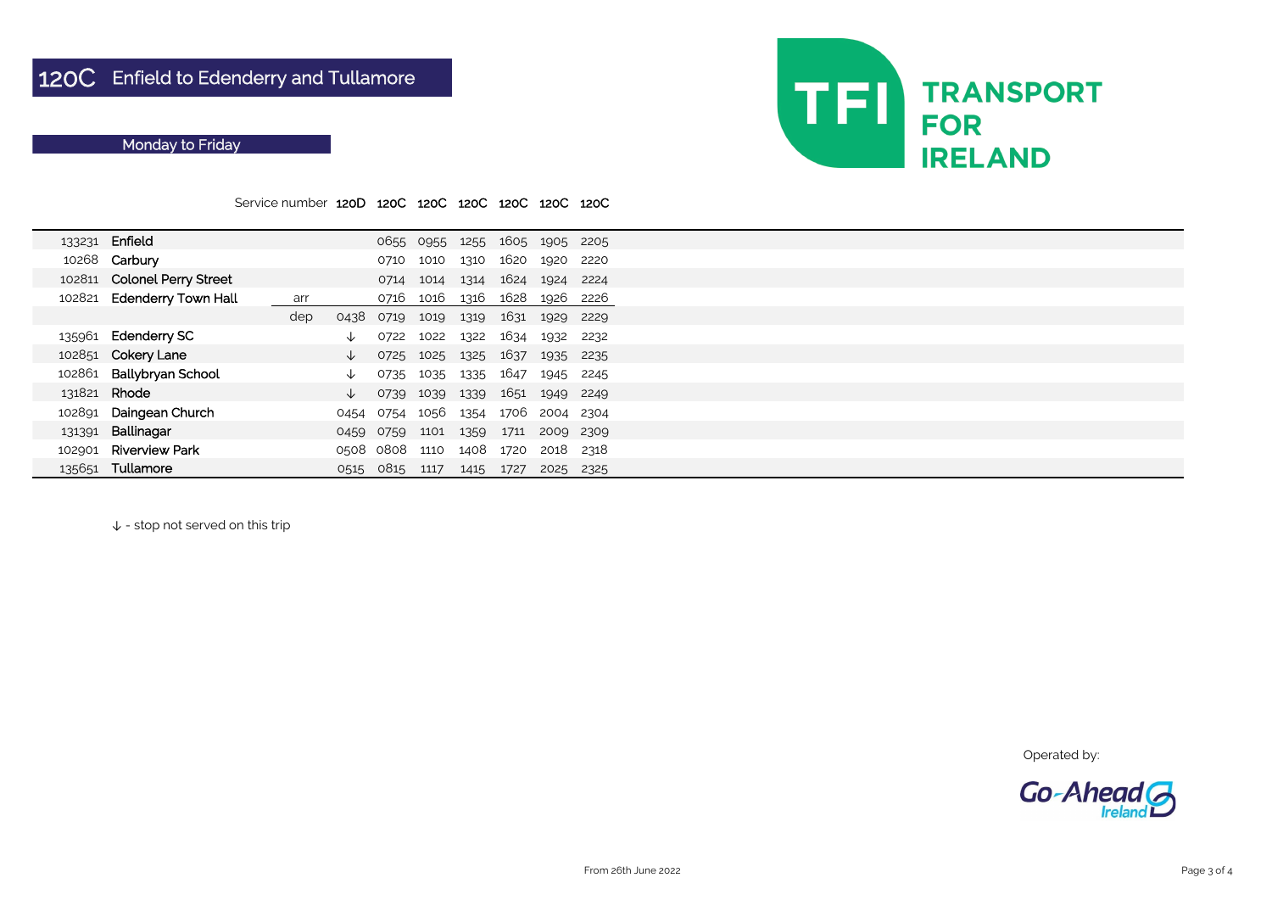Service number 120D 120C 120C 120C 120C 120C 120C

↓ - stop not served on this trip



| 133231 | Enfield                     |     |      |           | 0655 0955 |      |      | 1255 1605 1905 2205 |       |  |
|--------|-----------------------------|-----|------|-----------|-----------|------|------|---------------------|-------|--|
|        | 10268 Carbury               |     |      | 0710      | 1010      | 1310 | 1620 | 1920                | 2220  |  |
|        | 102811 Colonel Perry Street |     |      | 0714      | 1014      | 1314 | 1624 | 1924                | 2224  |  |
|        | 102821 Edenderry Town Hall  | arr |      | 0716      | 1016      | 1316 | 1628 | 1926                | -2226 |  |
|        |                             | dep | 0438 | 0719      | 1019      | 1319 | 1631 | 1929                | 2229  |  |
|        | 135961 Edenderry SC         |     | ◡    | 0722      | 1022      | 1322 | 1634 | 1932                | 2232  |  |
|        | 102851 Cokery Lane          |     | ◡    | 0725      | 1025      | 1325 | 1637 | 1935                | 2235  |  |
| 102861 | <b>Ballybryan School</b>    |     | ∿    | 0735      | 1035      | 1335 | 1647 | 1945                | 2245  |  |
|        | 131821 Rhode                |     | ↓    | 0739      | 1039      | 1339 | 1651 | 1949                | 2249  |  |
| 102891 | Daingean Church             |     | 0454 | 0754      | 1056      | 1354 | 1706 | 2004 2304           |       |  |
| 131391 | Ballinagar                  |     | 0459 | 0759      | 1101      | 1359 | 1711 | 2009                | 2309  |  |
| 102901 | <b>Riverview Park</b>       |     |      | 0508 0808 | 1110      | 1408 | 1720 | 2018                | 2318  |  |
| 135651 | Tullamore                   |     | 0515 | 0815      | 1117      | 1415 | 1727 | 2025                | 2325  |  |

Operated by:



## Monday to Friday